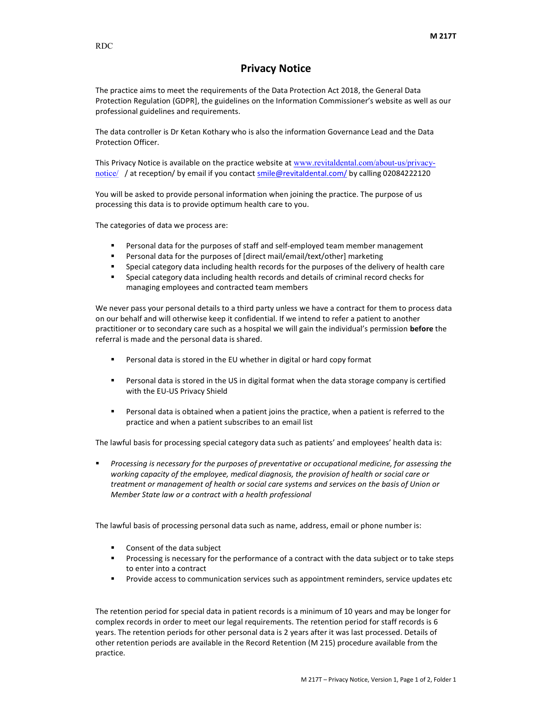## Privacy Notice

The practice aims to meet the requirements of the Data Protection Act 2018, the General Data Protection Regulation (GDPR], the guidelines on the Information Commissioner's website as well as our professional guidelines and requirements.

The data controller is Dr Ketan Kothary who is also the information Governance Lead and the Data Protection Officer.

This Privacy Notice is available on the practice website at www.revitaldental.com/about-us/privacynotice/ / at reception/ by email if you contact smile@revitaldental.com/ by calling 02084222120

You will be asked to provide personal information when joining the practice. The purpose of us processing this data is to provide optimum health care to you.

The categories of data we process are:

- Personal data for the purposes of staff and self-employed team member management
- Personal data for the purposes of [direct mail/email/text/other] marketing
- Special category data including health records for the purposes of the delivery of health care
- Special category data including health records and details of criminal record checks for managing employees and contracted team members

We never pass your personal details to a third party unless we have a contract for them to process data on our behalf and will otherwise keep it confidential. If we intend to refer a patient to another practitioner or to secondary care such as a hospital we will gain the individual's permission **before** the referral is made and the personal data is shared.

- Personal data is stored in the EU whether in digital or hard copy format
- Personal data is stored in the US in digital format when the data storage company is certified with the EU-US Privacy Shield
- **Personal data is obtained when a patient joins the practice, when a patient is referred to the** practice and when a patient subscribes to an email list

The lawful basis for processing special category data such as patients' and employees' health data is:

 Processing is necessary for the purposes of preventative or occupational medicine, for assessing the working capacity of the employee, medical diagnosis, the provision of health or social care or treatment or management of health or social care systems and services on the basis of Union or Member State law or a contract with a health professional

The lawful basis of processing personal data such as name, address, email or phone number is:

- Consent of the data subject
- **Processing is necessary for the performance of a contract with the data subject or to take steps** to enter into a contract
- **Provide access to communication services such as appointment reminders, service updates etc**

The retention period for special data in patient records is a minimum of 10 years and may be longer for complex records in order to meet our legal requirements. The retention period for staff records is 6 years. The retention periods for other personal data is 2 years after it was last processed. Details of other retention periods are available in the Record Retention (M 215) procedure available from the practice.